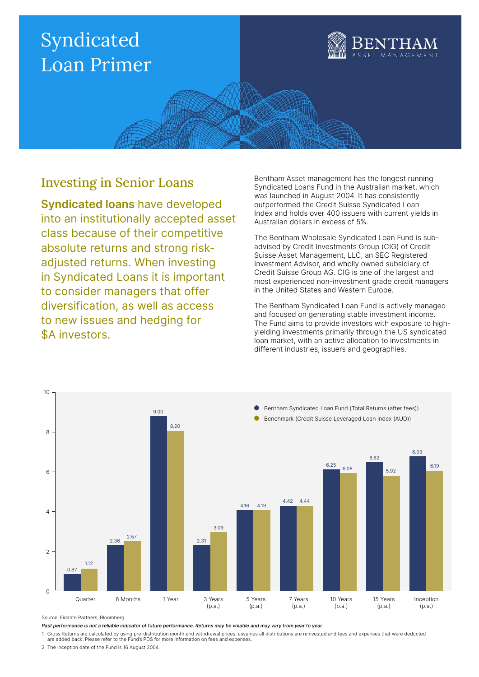

### Investing in Senior Loans

Syndicated loans have developed into an institutionally accepted asset class because of their competitive absolute returns and strong riskadjusted returns. When investing in Syndicated Loans it is important to consider managers that offer diversification, as well as access to new issues and hedging for \$A investors.

Bentham Asset management has the longest running Syndicated Loans Fund in the Australian market, which was launched in August 2004. It has consistently outperformed the Credit Suisse Syndicated Loan Index and holds over 400 issuers with current yields in Australian dollars in excess of 5%.

The Bentham Wholesale Syndicated Loan Fund is subadvised by Credit Investments Group (CIG) of Credit Suisse Asset Management, LLC, an SEC Registered Investment Advisor, and wholly owned subsidiary of Credit Suisse Group AG. CIG is one of the largest and most experienced non-investment grade credit managers in the United States and Western Europe.

The Bentham Syndicated Loan Fund is actively managed and focused on generating stable investment income. The Fund aims to provide investors with exposure to highyielding investments primarily through the US syndicated loan market, with an active allocation to investments in different industries, issuers and geographies.



Source: Fidante Partners, Bloomberg

Past performance is not a reliable indicator of future performance. Returns may be volatile and may vary from year to year.

1 Gross Returns are calculated by using pre-distribution month end withdrawal prices, assumes all distributions are reinvested and fees and expenses that were deducted are added back. Please refer to the Fund's PDS for more information on fees and expenses.

2 The inception date of the Fund is 16 August 2004.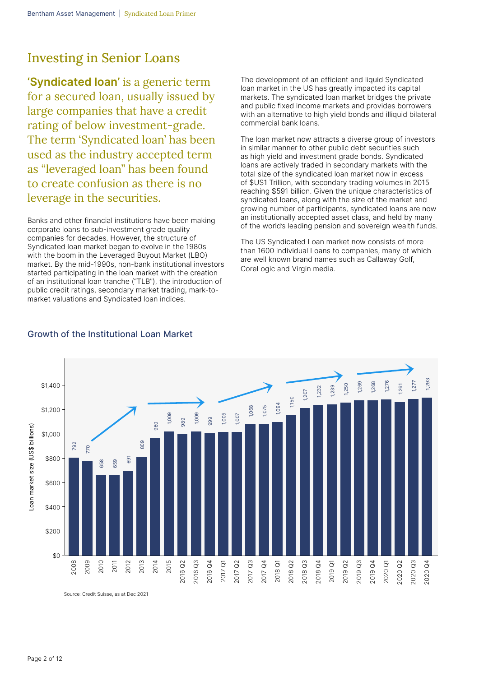### Investing in Senior Loans

'Syndicated loan' is a generic term for a secured loan, usually issued by large companies that have a credit rating of below investment-grade. The term 'Syndicated loan' has been used as the industry accepted term as "leveraged loan" has been found to create confusion as there is no leverage in the securities.

Banks and other financial institutions have been making corporate loans to sub-investment grade quality companies for decades. However, the structure of Syndicated loan market began to evolve in the 1980s with the boom in the Leveraged Buyout Market (LBO) market. By the mid-1990s, non-bank institutional investors started participating in the loan market with the creation of an institutional loan tranche ("TLB"), the introduction of public credit ratings, secondary market trading, mark-tomarket valuations and Syndicated loan indices.

The development of an efficient and liquid Syndicated loan market in the US has greatly impacted its capital markets. The syndicated loan market bridges the private and public fixed income markets and provides borrowers with an alternative to high yield bonds and illiquid bilateral commercial bank loans.

The loan market now attracts a diverse group of investors in similar manner to other public debt securities such as high yield and investment grade bonds. Syndicated loans are actively traded in secondary markets with the total size of the syndicated loan market now in excess of \$US1 Trillion, with secondary trading volumes in 2015 reaching \$591 billion. Given the unique characteristics of syndicated loans, along with the size of the market and growing number of participants, syndicated loans are now an institutionally accepted asset class, and held by many of the world's leading pension and sovereign wealth funds.

The US Syndicated Loan market now consists of more than 1600 individual Loans to companies, many of which are well known brand names such as Callaway Golf, CoreLogic and Virgin media.



### Growth of the Institutional Loan Market

Source: Credit Suisse, as at Dec 2021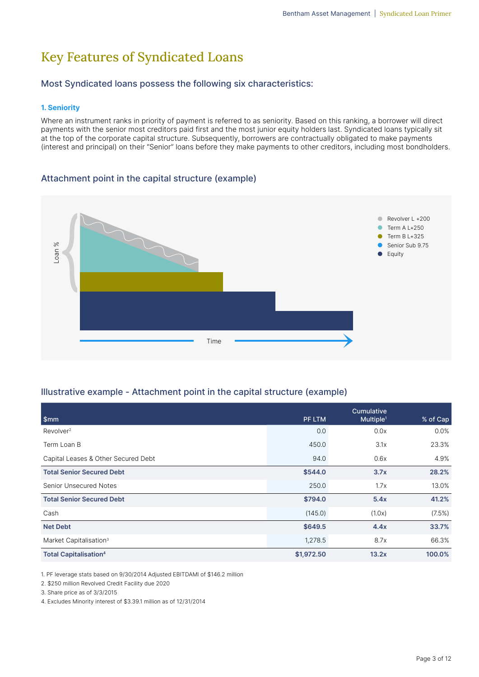## Key Features of Syndicated Loans

### Most Syndicated loans possess the following six characteristics:

### 1. Seniority

Where an instrument ranks in priority of payment is referred to as seniority. Based on this ranking, a borrower will direct payments with the senior most creditors paid first and the most junior equity holders last. Syndicated loans typically sit at the top of the corporate capital structure. Subsequently, borrowers are contractually obligated to make payments (interest and principal) on their "Senior" loans before they make payments to other creditors, including most bondholders.

### Attachment point in the capital structure (example)



### Illustrative example - Attachment point in the capital structure (example)

| Loan %<br>Time                                                                                                                                                                                                                            |            | Equity                              | Senior Sub 9.75 |
|-------------------------------------------------------------------------------------------------------------------------------------------------------------------------------------------------------------------------------------------|------------|-------------------------------------|-----------------|
|                                                                                                                                                                                                                                           |            |                                     |                 |
| Illustrative example - Attachment point in the capital structure (example)                                                                                                                                                                |            |                                     |                 |
| \$mm                                                                                                                                                                                                                                      | PF LTM     | Cumulative<br>Multiple <sup>1</sup> | % of Cap        |
| Revolver <sup>2</sup>                                                                                                                                                                                                                     | 0.0        | 0.0x                                | 0.0%            |
| Term Loan B                                                                                                                                                                                                                               | 450.0      | 3.1x                                | 23.3%           |
| Capital Leases & Other Secured Debt                                                                                                                                                                                                       | 94.0       | 0.6x                                | 4.9%            |
| <b>Total Senior Secured Debt</b>                                                                                                                                                                                                          | \$544.0    | 3.7x                                | 28.2%           |
| <b>Senior Unsecured Notes</b>                                                                                                                                                                                                             | 250.0      | 1.7x                                | 13.0%           |
| <b>Total Senior Secured Debt</b>                                                                                                                                                                                                          | \$794.0    | 5.4x                                | 41.2%           |
| Cash                                                                                                                                                                                                                                      | (145.0)    | (1.0x)                              | (7.5%)          |
| <b>Net Debt</b>                                                                                                                                                                                                                           | \$649.5    | 4.4x                                | 33.7%           |
| Market Capitalisation <sup>3</sup>                                                                                                                                                                                                        | 1,278.5    | 8.7x                                | 66.3%           |
| <b>Total Capitalisation4</b>                                                                                                                                                                                                              | \$1,972.50 | 13.2x                               | 100.0%          |
| 1. PF leverage stats based on 9/30/2014 Adjusted EBITDAMI of \$146.2 million<br>2. \$250 million Revolved Credit Facility due 2020<br>3. Share price as of 3/3/2015<br>4. Excludes Minority interest of \$3.39.1 million as of 12/31/2014 |            |                                     |                 |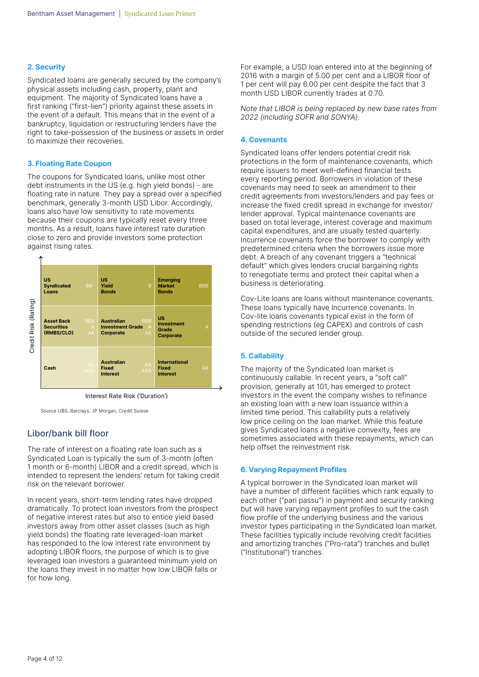#### 2. Security

Syndicated loans are generally secured by the company's physical assets including cash, property, plant and equipment. The majority of Syndicated loans have a first ranking ("first-lien") priority against these assets in the event of a default. This means that in the event of a bankruptcy, liquidation or restructuring lenders have the right to take-possession of the business or assets in order to maximize their recoveries.

#### 3. Floating Rate Coupon

The coupons for Syndicated loans, unlike most other debt instruments in the US (e.g. high yield bonds) - are floating rate in nature. They pay a spread over a specified benchmark, generally 3-month USD Libor. Accordingly, loans also have low sensitivity to rate movements because their coupons are typically reset every three months. As a result, loans have interest rate duration close to zero and provide investors some protection against rising rates.



Source UBS, Barclays, JP Morgan, Credit Suisse

### Libor/bank bill floor

The rate of interest on a floating rate loan such as a Syndicated Loan is typically the sum of 3-month (often 1 month or 6-month) LIBOR and a credit spread, which is intended to represent the lenders' return for taking credit risk on the relevant borrower.

In recent years, short-term lending rates have dropped dramatically. To protect loan investors from the prospect of negative interest rates but also to entice yield based investors away from other asset classes (such as high yield bonds) the floating rate leveraged-loan market has responded to the low interest rate environment by adopting LIBOR floors, the purpose of which is to give leveraged loan investors a guaranteed minimum yield on the loans they invest in no matter how low LIBOR falls or for how long.

For example, a USD loan entered into at the beginning of 2016 with a margin of 5.00 per cent and a LIBOR floor of 1 per cent will pay 6.00 per cent despite the fact that 3 month USD LIBOR currently trades at 0.70.

Note that LIBOR is being replaced by new base rates from 2022 (including SOFR and SONYA).

#### 4. Covenants

Syndicated loans offer lenders potential credit risk protections in the form of maintenance covenants, which require issuers to meet well-defined financial tests every reporting period. Borrowers in violation of these covenants may need to seek an amendment to their credit agreements from investors/lenders and pay fees or increase the fixed credit spread in exchange for investor/ lender approval. Typical maintenance covenants are based on total leverage, interest coverage and maximum capital expenditures, and are usually tested quarterly. Incurrence covenants force the borrower to comply with predetermined criteria when the borrowers issue more debt. A breach of any covenant triggers a "technical default" which gives lenders crucial bargaining rights to renegotiate terms and protect their capital when a business is deteriorating.

Cov-Lite loans are loans without maintenance covenants. These loans typically have Incurrence covenants. In Cov-lite loans covenants typical exist in the form of spending restrictions (eg CAPEX) and controls of cash outside of the secured lender group.

### 5. Callability

The majority of the Syndicated loan market is continuously callable. In recent years, a "soft call" provision, generally at 101, has emerged to protect investors in the event the company wishes to refinance an existing loan with a new loan issuance within a limited time period. This callability puts a relatively low price ceiling on the loan market. While this feature gives Syndicated loans a negative convexity, fees are sometimes associated with these repayments, which can help offset the reinvestment risk.

#### 6. Varying Repayment Profiles

A typical borrower in the Syndicated loan market will have a number of different facilities which rank equally to each other ("pari passu") in payment and security ranking but will have varying repayment profiles to suit the cash flow profile of the underlying business and the various investor types participating in the Syndicated loan market. These facilities typically include revolving credit facilities and amortizing tranches ("Pro-rata") tranches and bullet ("Institutional") tranches.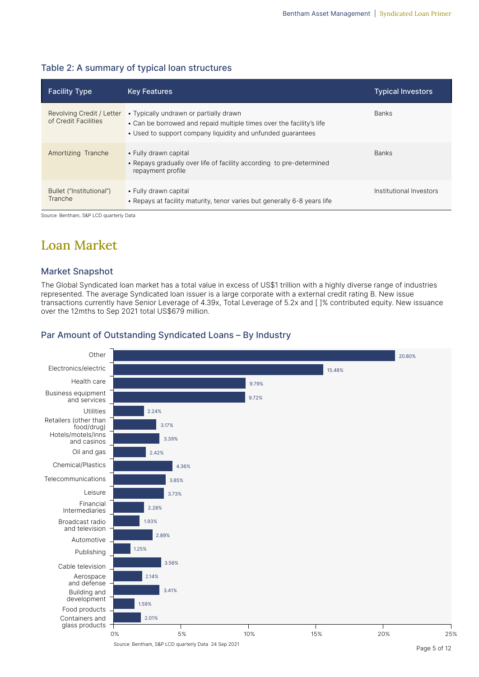| <b>Facility Type</b>                              | <b>Key Features</b>                                                                                                                                                           | <b>Typical Investors</b> |
|---------------------------------------------------|-------------------------------------------------------------------------------------------------------------------------------------------------------------------------------|--------------------------|
| Revolving Credit / Letter<br>of Credit Facilities | • Typically undrawn or partially drawn<br>• Can be borrowed and repaid multiple times over the facility's life<br>• Used to support company liquidity and unfunded quarantees | <b>Banks</b>             |
| Amortizing Tranche                                | • Fully drawn capital<br>• Repays gradually over life of facility according to pre-determined<br>repayment profile                                                            | <b>Banks</b>             |
| Bullet ("Institutional")<br>Tranche               | • Fully drawn capital<br>• Repays at facility maturity, tenor varies but generally 6-8 years life                                                                             | Institutional Investors  |

### Table 2: A summary of typical loan structures

Source: Bentham, S&P LCD quarterly Data

### Loan Market

### Market Snapshot

The Global Syndicated loan market has a total value in excess of US\$1 trillion with a highly diverse range of industries represented. The average Syndicated loan issuer is a large corporate with a external credit rating B. New issue transactions currently have Senior Leverage of 4.39x, Total Leverage of 5.2x and [ ]% contributed equity. New issuance over the 12mths to Sep 2021 total US\$679 million.

#### **Other** Electronics/electric Health care Business equipment and services Utilities Retailers (other than food/drug) Hotels/motels/inns and casinos Oil and gas Chemical/Plastics Telecommunications Leisure Financial Intermediaries Broadcast radio and television Automotive Publishing Cable television Aerospace and defense Building and development Food products Containers and glass products 0% 5% 10% 15% 20% 25% 20.80% 15.48% 9.79% 9.72% 2.24% 3.17% 3.39% 2.42% 4.36% 3.85% 3.73% 2.28% 1.93% 2.89% 1.25% 3.56% 2.14% 3.41% 1.59% 2.01%

### Par Amount of Outstanding Syndicated Loans – By Industry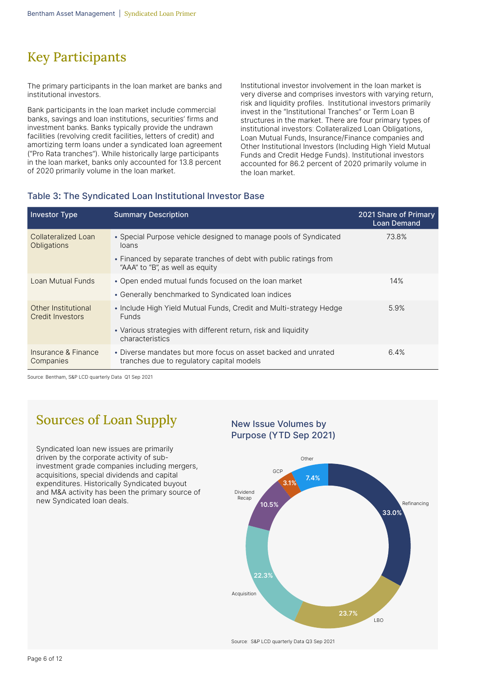## Key Participants

The primary participants in the loan market are banks and institutional investors.

Bank participants in the loan market include commercial banks, savings and loan institutions, securities' firms and investment banks. Banks typically provide the undrawn facilities (revolving credit facilities, letters of credit) and amortizing term loans under a syndicated loan agreement ("Pro Rata tranches"). While historically large participants in the loan market, banks only accounted for 13.8 percent of 2020 primarily volume in the loan market.

Institutional investor involvement in the loan market is very diverse and comprises investors with varying return, risk and liquidity profiles. Institutional investors primarily invest in the "Institutional Tranches" or Term Loan B structures in the market. There are four primary types of institutional investors: Collateralized Loan Obligations, Loan Mutual Funds, Insurance/Finance companies and Other Institutional Investors (Including High Yield Mutual Funds and Credit Hedge Funds). Institutional investors accounted for 86.2 percent of 2020 primarily volume in the loan market.

### Table 3**:** The Syndicated Loan Institutional Investor Base

| <b>Investor Type</b>                      | <b>Summary Description</b>                                                                                 | 2021 Share of Primary<br><b>Loan Demand</b> |
|-------------------------------------------|------------------------------------------------------------------------------------------------------------|---------------------------------------------|
| Collateralized Loan<br><b>Obligations</b> | • Special Purpose vehicle designed to manage pools of Syndicated<br>loans                                  | 73.8%                                       |
|                                           | • Financed by separate tranches of debt with public ratings from<br>"AAA" to "B", as well as equity        |                                             |
| Loan Mutual Funds                         | • Open ended mutual funds focused on the loan market                                                       | 14%                                         |
|                                           | • Generally benchmarked to Syndicated Ioan indices                                                         |                                             |
| Other Institutional<br>Credit Investors   | • Include High Yield Mutual Funds, Credit and Multi-strategy Hedge<br><b>Funds</b>                         | 5.9%                                        |
|                                           | • Various strategies with different return, risk and liquidity<br>characteristics                          |                                             |
| Insurance & Finance<br>Companies          | • Diverse mandates but more focus on asset backed and unrated<br>tranches due to regulatory capital models | 6.4%                                        |

Source: Bentham, S&P LCD quarterly Data Q1 Sep 2021

## Sources of Loan Supply

Syndicated loan new issues are primarily driven by the corporate activity of subinvestment grade companies including mergers, acquisitions, special dividends and capital expenditures. Historically Syndicated buyout and M&A activity has been the primary source of new Syndicated loan deals.

## New Issue Volumes by Purpose (YTD Sep 2021)



Source: S&P LCD quarterly Data Q3 Sep 2021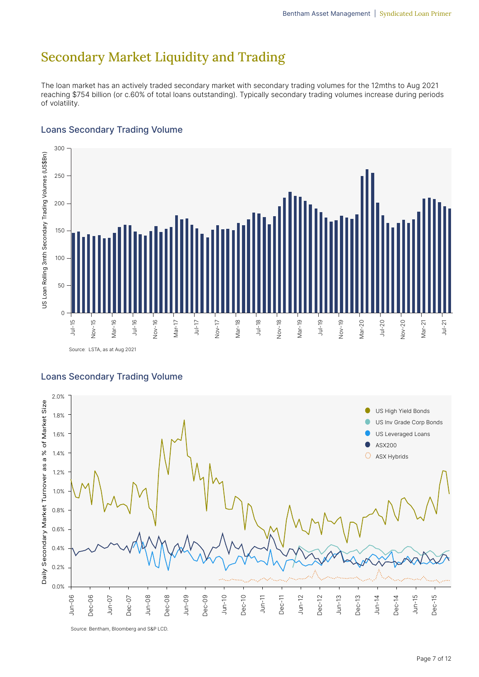## Secondary Market Liquidity and Trading

The loan market has an actively traded secondary market with secondary trading volumes for the 12mths to Aug 2021 reaching \$754 billion (or c.60% of total loans outstanding). Typically secondary trading volumes increase during periods of volatility.

### Loans Secondary Trading Volume



Source: LSTA, as at Aug 2021

### Loans Secondary Trading Volume



Source: Bentham, Bloomberg and S&P LCD.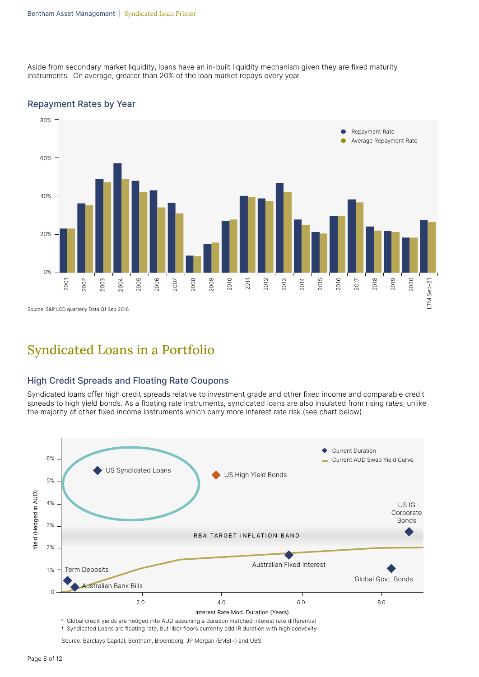Aside from secondary market liquidity, loans have an in-built liquidity mechanism given they are fixed maturity instruments. On average, greater than 20% of the loan market repays every year.





### Syndicated Loans in a Portfolio

### High Credit Spreads and Floating Rate Coupons

Syndicated loans offer high credit spreads relative to investment grade and other fixed income and comparable credit spreads to high yield bonds. As a floating rate instruments, syndicated loans are also insulated from rising rates, unlike the majority of other fixed income instruments which carry more interest rate risk (see chart below).



\* Syndicated Loans are floating rate, but libor floors currently add IR duration with high convexity

Source: Barclays Capital, Bentham, Bloomberg, JP Morgan (EMBI+) and UBS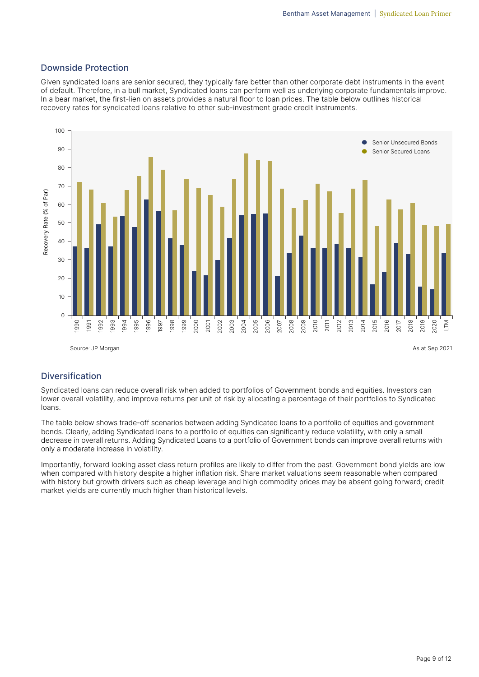### Downside Protection

Given syndicated loans are senior secured, they typically fare better than other corporate debt instruments in the event of default. Therefore, in a bull market, Syndicated loans can perform well as underlying corporate fundamentals improve. In a bear market, the first-lien on assets provides a natural floor to loan prices. The table below outlines historical recovery rates for syndicated loans relative to other sub-investment grade credit instruments.



### Diversification

Syndicated loans can reduce overall risk when added to portfolios of Government bonds and equities. Investors can lower overall volatility, and improve returns per unit of risk by allocating a percentage of their portfolios to Syndicated loans.

The table below shows trade-off scenarios between adding Syndicated loans to a portfolio of equities and government bonds. Clearly, adding Syndicated loans to a portfolio of equities can significantly reduce volatility, with only a small decrease in overall returns. Adding Syndicated Loans to a portfolio of Government bonds can improve overall returns with only a moderate increase in volatility.

Importantly, forward looking asset class return profiles are likely to differ from the past. Government bond yields are low when compared with history despite a higher inflation risk. Share market valuations seem reasonable when compared with history but growth drivers such as cheap leverage and high commodity prices may be absent going forward; credit market yields are currently much higher than historical levels.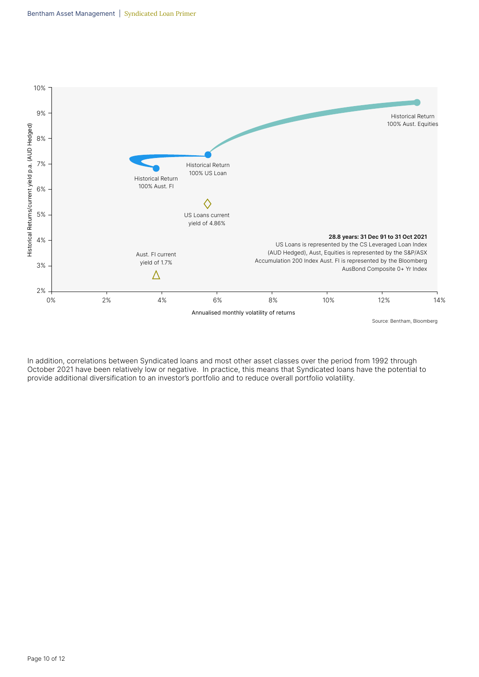

In addition, correlations between Syndicated loans and most other asset classes over the period from 1992 through October 2021 have been relatively low or negative. In practice, this means that Syndicated loans have the potential to provide additional diversification to an investor's portfolio and to reduce overall portfolio volatility.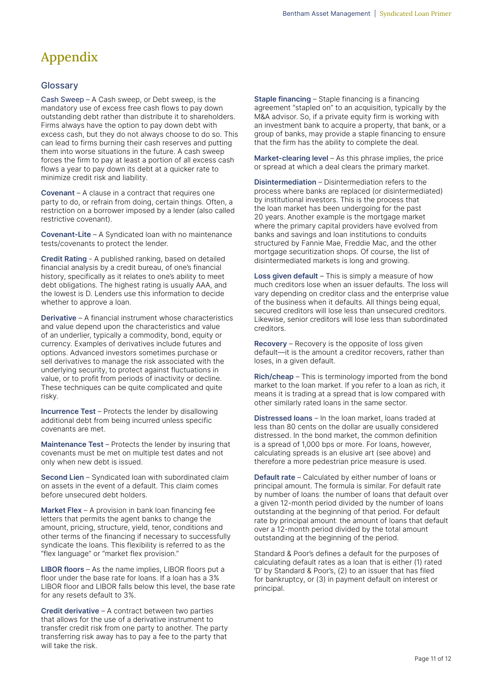# Appendix

### **Glossary**

Cash Sweep – A Cash sweep, or Debt sweep, is the mandatory use of excess free cash flows to pay down outstanding debt rather than distribute it to shareholders. Firms always have the option to pay down debt with excess cash, but they do not always choose to do so. This can lead to firms burning their cash reserves and putting them into worse situations in the future. A cash sweep forces the firm to pay at least a portion of all excess cash flows a year to pay down its debt at a quicker rate to minimize credit risk and liability.

Covenant – A clause in a contract that requires one party to do, or refrain from doing, certain things. Often, a restriction on a borrower imposed by a lender (also called restrictive covenant).

Covenant-Lite – A Syndicated loan with no maintenance tests/covenants to protect the lender.

Credit Rating - A published ranking, based on detailed financial analysis by a credit bureau, of one's financial history, specifically as it relates to one's ability to meet debt obligations. The highest rating is usually AAA, and the lowest is D. Lenders use this information to decide whether to approve a loan.

Derivative – A financial instrument whose characteristics and value depend upon the characteristics and value of an underlier, typically a commodity, bond, equity or currency. Examples of derivatives include futures and options. Advanced investors sometimes purchase or sell derivatives to manage the risk associated with the underlying security, to protect against fluctuations in value, or to profit from periods of inactivity or decline. These techniques can be quite complicated and quite risky.

Incurrence Test – Protects the lender by disallowing additional debt from being incurred unless specific covenants are met.

Maintenance Test - Protects the lender by insuring that covenants must be met on multiple test dates and not only when new debt is issued.

Second Lien – Syndicated loan with subordinated claim on assets in the event of a default. This claim comes before unsecured debt holders.

Market Flex – A provision in bank loan financing fee letters that permits the agent banks to change the amount, pricing, structure, yield, tenor, conditions and other terms of the financing if necessary to successfully syndicate the loans. This flexibility is referred to as the "flex language" or "market flex provision."

LIBOR floors – As the name implies, LIBOR floors put a floor under the base rate for loans. If a loan has a 3% LIBOR floor and LIBOR falls below this level, the base rate for any resets default to 3%.

Credit derivative – A contract between two parties that allows for the use of a derivative instrument to transfer credit risk from one party to another. The party transferring risk away has to pay a fee to the party that will take the risk.

Staple financing – Staple financing is a financing agreement "stapled on" to an acquisition, typically by the M&A advisor. So, if a private equity firm is working with an investment bank to acquire a property, that bank, or a group of banks, may provide a staple financing to ensure that the firm has the ability to complete the deal.

Market-clearing level – As this phrase implies, the price or spread at which a deal clears the primary market.

Disintermediation – Disintermediation refers to the process where banks are replaced (or disintermediated) by institutional investors. This is the process that the loan market has been undergoing for the past 20 years. Another example is the mortgage market where the primary capital providers have evolved from banks and savings and loan institutions to conduits structured by Fannie Mae, Freddie Mac, and the other mortgage securitization shops. Of course, the list of disintermediated markets is long and growing.

Loss given default - This is simply a measure of how much creditors lose when an issuer defaults. The loss will vary depending on creditor class and the enterprise value of the business when it defaults. All things being equal, secured creditors will lose less than unsecured creditors. Likewise, senior creditors will lose less than subordinated creditors.

Recovery – Recovery is the opposite of loss given default—it is the amount a creditor recovers, rather than loses, in a given default.

Rich/cheap – This is terminology imported from the bond market to the loan market. If you refer to a loan as rich, it means it is trading at a spread that is low compared with other similarly rated loans in the same sector.

Distressed loans – In the loan market, loans traded at less than 80 cents on the dollar are usually considered distressed. In the bond market, the common definition is a spread of 1,000 bps or more. For loans, however, calculating spreads is an elusive art (see above) and therefore a more pedestrian price measure is used.

Default rate – Calculated by either number of loans or principal amount. The formula is similar. For default rate by number of loans: the number of loans that default over a given 12-month period divided by the number of loans outstanding at the beginning of that period. For default rate by principal amount: the amount of loans that default over a 12-month period divided by the total amount outstanding at the beginning of the period.

Standard & Poor's defines a default for the purposes of calculating default rates as a loan that is either (1) rated 'D' by Standard & Poor's, (2) to an issuer that has filed for bankruptcy, or (3) in payment default on interest or principal.